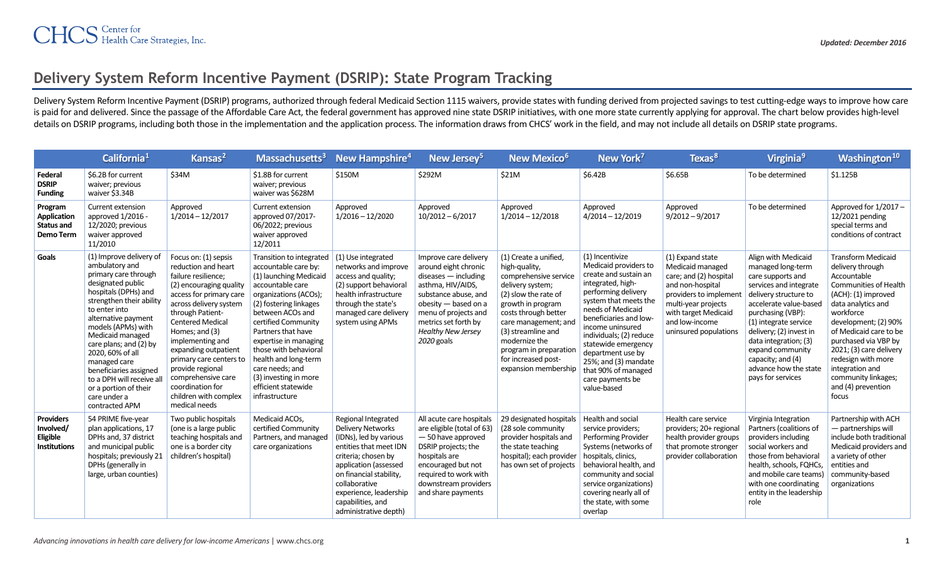## **Delivery System Reform Incentive Payment (DSRIP): State Program Tracking**

Delivery System Reform Incentive Payment (DSRIP) programs, authorized through federal Medicaid Section 1115 waivers, provide states with funding derived from projected savings to test cutting-edge ways to improve how care is paid for and delivered. Since the passage of the Affordable Care Act, the federal government has approved nine state DSRIP initiatives, with one more state currently applying for approval. The chart below provides highdetails on DSRIP programs, including both those in the implementation and the application process. The information draws from CHCS' work in the field, and may not include all details on DSRIP state programs.

|                                                                         | California <sup>1</sup>                                                                                                                                                                                                                                                                                                                                                                                      | Kansas <sup>2</sup>                                                                                                                                                                                                                                                                                                                                                                                | Massachusetts <sup>3</sup>                                                                                                                                                                                                                                                                                                                                                        | New Hampshire <sup>4</sup>                                                                                                                                                                                                                                              | New Jersey <sup>5</sup>                                                                                                                                                                                                                 | New Mexico <sup>6</sup>                                                                                                                                                                                                                                                                          | New York <sup>7</sup>                                                                                                                                                                                                                                                                                                                                              | Texas <sup>8</sup>                                                                                                                                                                                    | Virginia <sup>9</sup>                                                                                                                                                                                                                                                                                                               | Washington <sup>10</sup>                                                                                                                                                                                                                                                                                                                            |
|-------------------------------------------------------------------------|--------------------------------------------------------------------------------------------------------------------------------------------------------------------------------------------------------------------------------------------------------------------------------------------------------------------------------------------------------------------------------------------------------------|----------------------------------------------------------------------------------------------------------------------------------------------------------------------------------------------------------------------------------------------------------------------------------------------------------------------------------------------------------------------------------------------------|-----------------------------------------------------------------------------------------------------------------------------------------------------------------------------------------------------------------------------------------------------------------------------------------------------------------------------------------------------------------------------------|-------------------------------------------------------------------------------------------------------------------------------------------------------------------------------------------------------------------------------------------------------------------------|-----------------------------------------------------------------------------------------------------------------------------------------------------------------------------------------------------------------------------------------|--------------------------------------------------------------------------------------------------------------------------------------------------------------------------------------------------------------------------------------------------------------------------------------------------|--------------------------------------------------------------------------------------------------------------------------------------------------------------------------------------------------------------------------------------------------------------------------------------------------------------------------------------------------------------------|-------------------------------------------------------------------------------------------------------------------------------------------------------------------------------------------------------|-------------------------------------------------------------------------------------------------------------------------------------------------------------------------------------------------------------------------------------------------------------------------------------------------------------------------------------|-----------------------------------------------------------------------------------------------------------------------------------------------------------------------------------------------------------------------------------------------------------------------------------------------------------------------------------------------------|
| Federal<br><b>DSRIP</b><br><b>Funding</b>                               | \$6.2B for current<br>waiver; previous<br>waiver \$3.34B                                                                                                                                                                                                                                                                                                                                                     | \$34M                                                                                                                                                                                                                                                                                                                                                                                              | \$1.8B for current<br>waiver; previous<br>waiver was \$628M                                                                                                                                                                                                                                                                                                                       | \$150M                                                                                                                                                                                                                                                                  | \$292M                                                                                                                                                                                                                                  | \$21M                                                                                                                                                                                                                                                                                            | \$6.42B                                                                                                                                                                                                                                                                                                                                                            | \$6.65B                                                                                                                                                                                               | To be determined                                                                                                                                                                                                                                                                                                                    | \$1.125B                                                                                                                                                                                                                                                                                                                                            |
| Program<br>Application<br><b>Status and</b><br><b>Demo Term</b>         | Current extension<br>approved 1/2016 -<br>12/2020; previous<br>waiver approved<br>11/2010                                                                                                                                                                                                                                                                                                                    | Approved<br>$1/2014 - 12/2017$                                                                                                                                                                                                                                                                                                                                                                     | Current extension<br>approved 07/2017-<br>06/2022; previous<br>waiver approved<br>12/2011                                                                                                                                                                                                                                                                                         | Approved<br>$1/2016 - 12/2020$                                                                                                                                                                                                                                          | Approved<br>$10/2012 - 6/2017$                                                                                                                                                                                                          | Approved<br>$1/2014 - 12/2018$                                                                                                                                                                                                                                                                   | Approved<br>$4/2014 - 12/2019$                                                                                                                                                                                                                                                                                                                                     | Approved<br>$9/2012 - 9/2017$                                                                                                                                                                         | To be determined                                                                                                                                                                                                                                                                                                                    | Approved for 1/2017 -<br>12/2021 pending<br>special terms and<br>conditions of contract                                                                                                                                                                                                                                                             |
| Goals                                                                   | (1) Improve delivery of<br>ambulatory and<br>primary care through<br>designated public<br>hospitals (DPHs) and<br>strengthen their ability<br>to enter into<br>alternative payment<br>models (APMs) with<br>Medicaid managed<br>care plans; and (2) by<br>2020, 60% of all<br>managed care<br>beneficiaries assigned<br>to a DPH will receive all<br>or a portion of their<br>care under a<br>contracted APM | Focus on: (1) sepsis<br>reduction and heart<br>failure resilience;<br>(2) encouraging quality<br>access for primary care<br>across delivery system<br>through Patient-<br><b>Centered Medical</b><br>Homes; and (3)<br>implementing and<br>expanding outpatient<br>primary care centers to<br>provide regional<br>comprehensive care<br>coordination for<br>children with complex<br>medical needs | Transition to integrated<br>accountable care by:<br>(1) launching Medicaid<br>accountable care<br>organizations (ACOs);<br>(2) fostering linkages<br>between ACOs and<br>certified Community<br>Partners that have<br>expertise in managing<br>those with behavioral<br>health and long-term<br>care needs; and<br>(3) investing in more<br>efficient statewide<br>infrastructure | (1) Use integrated<br>networks and improve<br>access and quality;<br>(2) support behavioral<br>health infrastructure<br>through the state's<br>managed care delivery<br>system using APMs                                                                               | Improve care delivery<br>around eight chronic<br>$diseases - including$<br>asthma, HIV/AIDS,<br>substance abuse, and<br>obesity - based on a<br>menu of projects and<br>metrics set forth by<br><b>Healthy New Jersey</b><br>2020 goals | (1) Create a unified,<br>high-quality,<br>comprehensive service<br>delivery system;<br>(2) slow the rate of<br>growth in program<br>costs through better<br>care management; and<br>(3) streamline and<br>modernize the<br>program in preparation<br>for increased post-<br>expansion membership | (1) Incentivize<br>Medicaid providers to<br>create and sustain an<br>integrated, high-<br>performing delivery<br>system that meets the<br>needs of Medicaid<br>beneficiaries and low-<br>income uninsured<br>individuals; (2) reduce<br>statewide emergency<br>department use by<br>25%; and (3) mandate<br>that 90% of managed<br>care payments be<br>value-based | (1) Expand state<br>Medicaid managed<br>care; and (2) hospital<br>and non-hospital<br>providers to implemen<br>multi-year projects<br>with target Medicaid<br>and low-income<br>uninsured populations | Align with Medicaid<br>managed long-term<br>care supports and<br>services and integrate<br>delivery structure to<br>accelerate value-based<br>purchasing (VBP):<br>(1) integrate service<br>delivery; (2) invest in<br>data integration; (3)<br>expand community<br>capacity; and (4)<br>advance how the state<br>pays for services | <b>Transform Medicaid</b><br>delivery through<br>Accountable<br>Communities of Health<br>(ACH): (1) improved<br>data analytics and<br>workforce<br>development; (2) 90%<br>of Medicaid care to be<br>purchased via VBP by<br>2021; (3) care delivery<br>redesign with more<br>integration and<br>community linkages;<br>and (4) prevention<br>focus |
| <b>Providers</b><br>Involved/<br><b>Eligible</b><br><b>Institutions</b> | 54 PRIME five-year<br>plan applications, 17<br>DPHs and, 37 district<br>and municipal public<br>hospitals; previously 21<br>DPHs (generally in<br>large, urban counties)                                                                                                                                                                                                                                     | Two public hospitals<br>(one is a large public<br>teaching hospitals and<br>one is a border city<br>children's hospital)                                                                                                                                                                                                                                                                           | Medicaid ACOs,<br>certified Community<br>Partners, and managed<br>care organizations                                                                                                                                                                                                                                                                                              | Regional Integrated<br><b>Delivery Networks</b><br>(IDNs), led by various<br>entities that meet IDN<br>criteria; chosen by<br>application (assessed<br>on financial stability.<br>collaborative<br>experience, leadership<br>capabilities, and<br>administrative depth) | All acute care hospitals<br>are eligible (total of 63)<br>- 50 have approved<br>DSRIP projects; the<br>hospitals are<br>encouraged but not<br>required to work with<br>downstream providers<br>and share payments                       | 29 designated hospitals<br>(28 sole community<br>provider hospitals and<br>the state teaching<br>hospital); each provider<br>has own set of projects                                                                                                                                             | Health and social<br>service providers;<br>Performing Provider<br>Systems (networks of<br>hospitals, clinics,<br>behavioral health, and<br>community and social<br>service organizations)<br>covering nearly all of<br>the state, with some<br>overlap                                                                                                             | Health care service<br>providers; 20+ regional<br>health provider groups<br>that promote stronger<br>provider collaboration                                                                           | Virginia Integration<br>Partners (coalitions of<br>providers including<br>social workers and<br>those from behavioral<br>health, schools, FQHCs,<br>and mobile care teams)<br>with one coordinating<br>entity in the leadership<br>role                                                                                             | Partnership with ACH<br>- partnerships will<br>include both traditional<br>Medicaid providers and<br>a variety of other<br>entities and<br>community-based<br>organizations                                                                                                                                                                         |